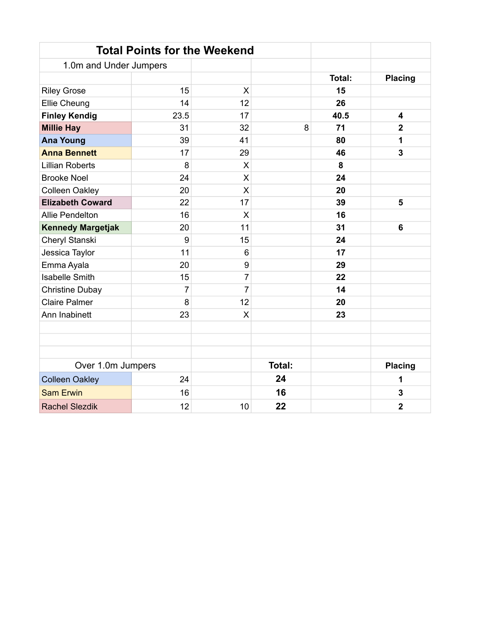|                          | <b>Total Points for the Weekend</b> |                |        |        |                         |
|--------------------------|-------------------------------------|----------------|--------|--------|-------------------------|
| 1.0m and Under Jumpers   |                                     |                |        |        |                         |
|                          |                                     |                |        | Total: | <b>Placing</b>          |
| <b>Riley Grose</b>       | 15                                  | X              |        | 15     |                         |
| <b>Ellie Cheung</b>      | 14                                  | 12             |        | 26     |                         |
| <b>Finley Kendig</b>     | 23.5                                | 17             |        | 40.5   | 4                       |
| <b>Millie Hay</b>        | 31                                  | 32             | 8      | 71     | $\overline{2}$          |
| <b>Ana Young</b>         | 39                                  | 41             |        | 80     | 1                       |
| <b>Anna Bennett</b>      | 17                                  | 29             |        | 46     | 3                       |
| <b>Lillian Roberts</b>   | 8                                   | X              |        | 8      |                         |
| <b>Brooke Noel</b>       | 24                                  | X              |        | 24     |                         |
| <b>Colleen Oakley</b>    | 20                                  | X              |        | 20     |                         |
| <b>Elizabeth Coward</b>  | 22                                  | 17             |        | 39     | 5                       |
| Allie Pendelton          | 16                                  | X              |        | 16     |                         |
| <b>Kennedy Margetjak</b> | 20                                  | 11             |        | 31     | 6                       |
| Cheryl Stanski           | 9                                   | 15             |        | 24     |                         |
| Jessica Taylor           | 11                                  | $6\phantom{1}$ |        | 17     |                         |
| Emma Ayala               | 20                                  | 9              |        | 29     |                         |
| <b>Isabelle Smith</b>    | 15                                  | $\overline{7}$ |        | 22     |                         |
| <b>Christine Dubay</b>   | $\overline{7}$                      | 7              |        | 14     |                         |
| <b>Claire Palmer</b>     | 8                                   | 12             |        | 20     |                         |
| Ann Inabinett            | 23                                  | X              |        | 23     |                         |
|                          |                                     |                |        |        |                         |
|                          |                                     |                |        |        |                         |
|                          |                                     |                |        |        |                         |
| Over 1.0m Jumpers        |                                     |                | Total: |        | <b>Placing</b>          |
| <b>Colleen Oakley</b>    | 24                                  |                | 24     |        | 1                       |
| <b>Sam Erwin</b>         | 16                                  |                | 16     |        | $\mathbf{3}$            |
| <b>Rachel Slezdik</b>    | 12                                  | 10             | 22     |        | $\overline{\mathbf{2}}$ |